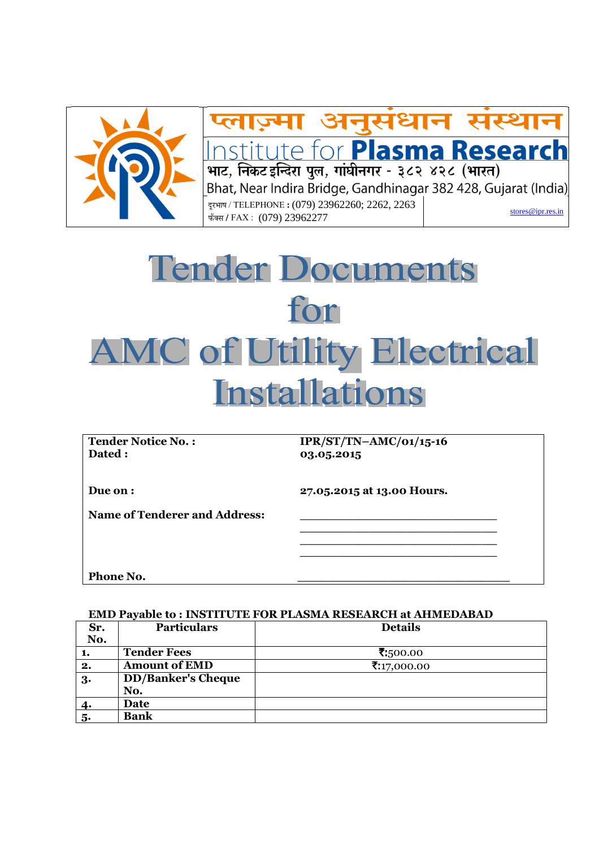

# प्लाज़्मा अनुसंधान संस्थान Institute for Plasma Research Bhat, Near Indira Bridge, Gandhinagar 382 428, Gujarat (India) दरभाष / TELEPHONE : (079) 23962260; 2262, 2263 stores@ipr.res.in ±úïŒÃÖ **/** FAX :(079) 23962277

# Tender Documents for **AMC of Utility Electrical Installations**

**Dated : 03.05.2015** 

**Tender Notice No. : IPR/ST/TN–AMC/01/15-16** 

**Due on : 27.05.2015 at 13.00 Hours.** 

Name of Tenderer and Address:  **\_\_\_\_\_\_\_\_\_\_\_\_\_\_\_\_\_\_\_\_\_\_\_\_\_\_** 

 **\_\_\_\_\_\_\_\_\_\_\_\_\_\_\_\_\_\_\_\_\_\_\_\_\_\_ \_\_\_\_\_\_\_\_\_\_\_\_\_\_\_\_\_\_\_\_\_\_\_\_\_\_** 

Phone No.

# **EMD Payable to : INSTITUTE FOR PLASMA RESEARCH at AHMEDABAD**

| Sr.      | <b>Particulars</b>        | <b>Details</b> |
|----------|---------------------------|----------------|
| No.      |                           |                |
| 1.       | <b>Tender Fees</b>        | ₹:500.00       |
| 2.       | <b>Amount of EMD</b>      | ₹:17,000.00    |
| $3\cdot$ | <b>DD/Banker's Cheque</b> |                |
|          | No.                       |                |
| 4.       | Date                      |                |
| 5.       | <b>Bank</b>               |                |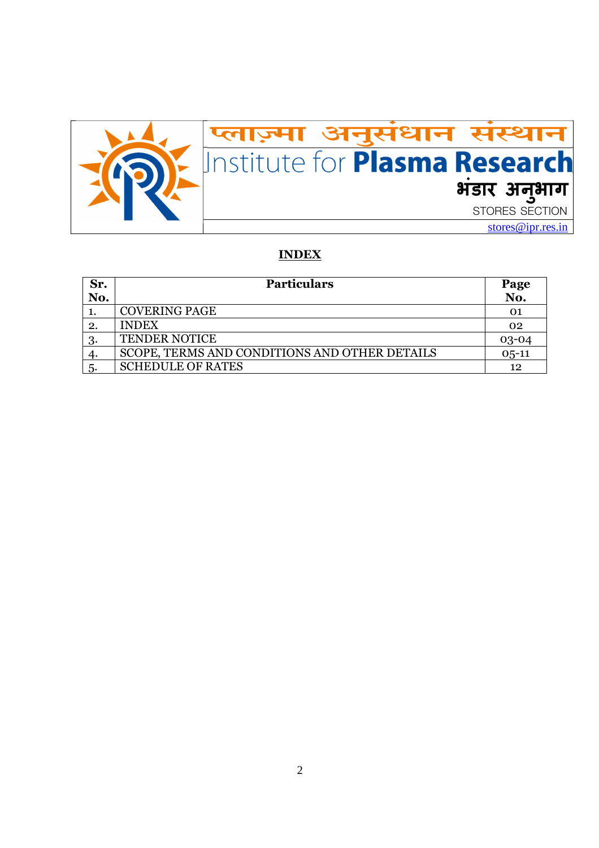

## **INDEX**

| Sr. | <b>Particulars</b>                            |           |
|-----|-----------------------------------------------|-----------|
| No. |                                               | No.       |
|     | <b>COVERING PAGE</b>                          | 01        |
| 2.  | <b>INDEX</b>                                  | 02        |
| 3.  | <b>TENDER NOTICE</b>                          | $03 - 04$ |
|     | SCOPE, TERMS AND CONDITIONS AND OTHER DETAILS | $0,5-11$  |
| -5. | <b>SCHEDULE OF RATES</b>                      | 12        |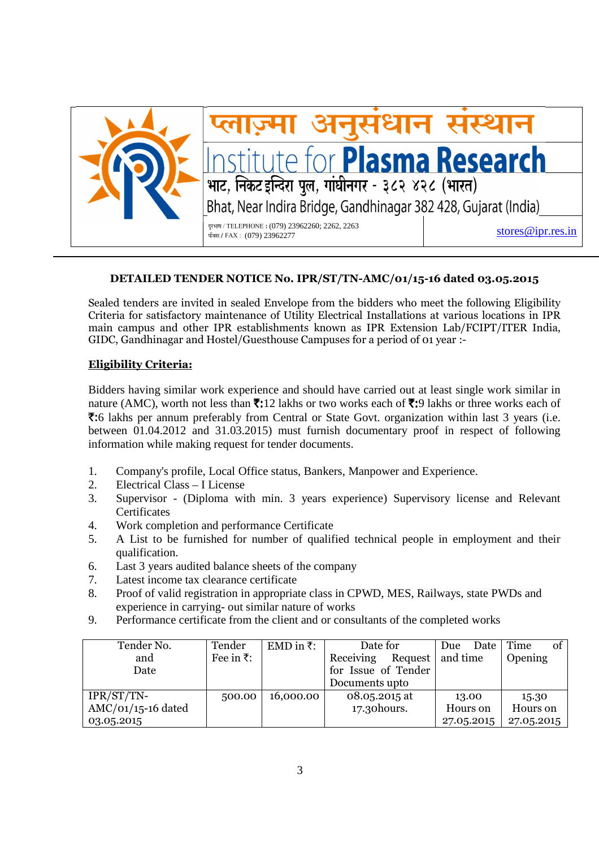

# **DETAILED TENDER NOTICE No. IPR/ST/TN-AMC/01/15-16 dated 03.05.2015**

Sealed tenders are invited in sealed Envelope from the bidders who meet the following Eligibility Criteria for satisfactory maintenance of Utility Electrical Installations at various locations in IPR main campus and other IPR establishments known as IPR Extension Lab/FCIPT/ITER India, GIDC, Gandhinagar and Hostel/Guesthouse Campuses for a period of 01 year :-

### **Eligibility Criteria:**

Bidders having similar work experience and should have carried out at least single work similar in nature (AMC), worth not less than  $\bar{\mathbf{z}}$ :12 lakhs or two works each of  $\bar{\mathbf{z}}$ :9 lakhs or three works each of `:6 lakhs per annum preferably from Central or State Govt. organization within last 3 years (i.e. between 01.04.2012 and 31.03.2015) must furnish documentary proof in respect of following information while making request for tender documents.

- 1. Company's profile, Local Office status, Bankers, Manpower and Experience.
- 2. Electrical Class I License
- 3. Supervisor (Diploma with min. 3 years experience) Supervisory license and Relevant **Certificates**
- 4. Work completion and performance Certificate
- 5. A List to be furnished for number of qualified technical people in employment and their qualification.
- 6. Last 3 years audited balance sheets of the company
- 7. Latest income tax clearance certificate
- 8. Proof of valid registration in appropriate class in CPWD, MES, Railways, state PWDs and experience in carrying- out similar nature of works
- 9. Performance certificate from the client and or consultants of the completed works

| Tender No.           | Tender             | EMD in ₹: | Date for             | Date<br>Due | of<br>  Time |
|----------------------|--------------------|-----------|----------------------|-------------|--------------|
| and                  | Fee in $\bar{z}$ : |           | Receiving<br>Request | and time    | Opening      |
| Date                 |                    |           | for Issue of Tender  |             |              |
|                      |                    |           | Documents upto       |             |              |
| IPR/ST/TN-           | 500.00             | 16,000.00 | 08.05.2015 at        | 13.00       | 15.30        |
| $AMC/O1/15-16$ dated |                    |           | 17.30 hours.         | Hours on    | Hours on     |
| 03.05.2015           |                    |           |                      | 27.05.2015  | 27.05.2015   |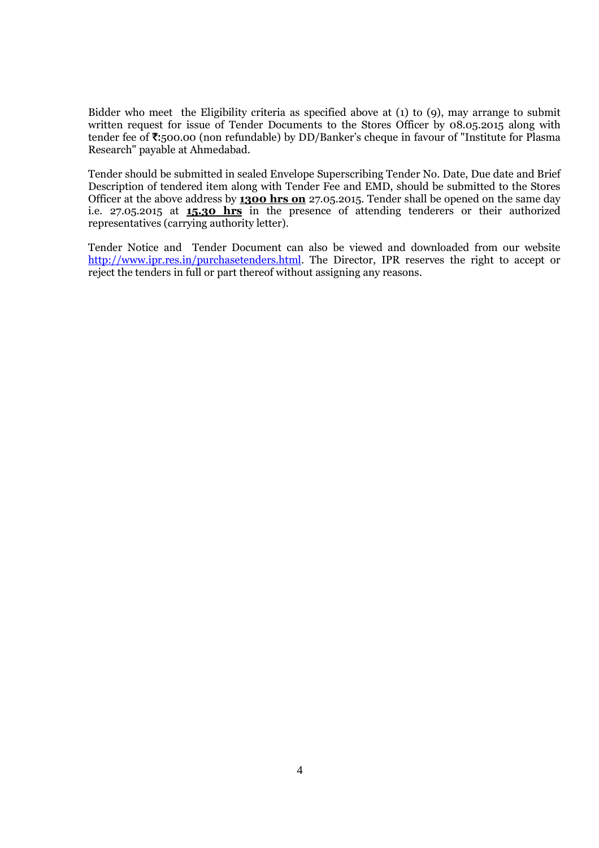Bidder who meet the Eligibility criteria as specified above at (1) to (9), may arrange to submit written request for issue of Tender Documents to the Stores Officer by 08.05.2015 along with tender fee of ₹:500.00 (non refundable) by DD/Banker's cheque in favour of "Institute for Plasma Research" payable at Ahmedabad.

Tender should be submitted in sealed Envelope Superscribing Tender No. Date, Due date and Brief Description of tendered item along with Tender Fee and EMD, should be submitted to the Stores Officer at the above address by **1300 hrs on** 27.05.2015. Tender shall be opened on the same day i.e. 27.05.2015 at **15.30 hrs** in the presence of attending tenderers or their authorized representatives (carrying authority letter).

Tender Notice and Tender Document can also be viewed and downloaded from our website http://www.ipr.res.in/purchasetenders.html. The Director, IPR reserves the right to accept or reject the tenders in full or part thereof without assigning any reasons.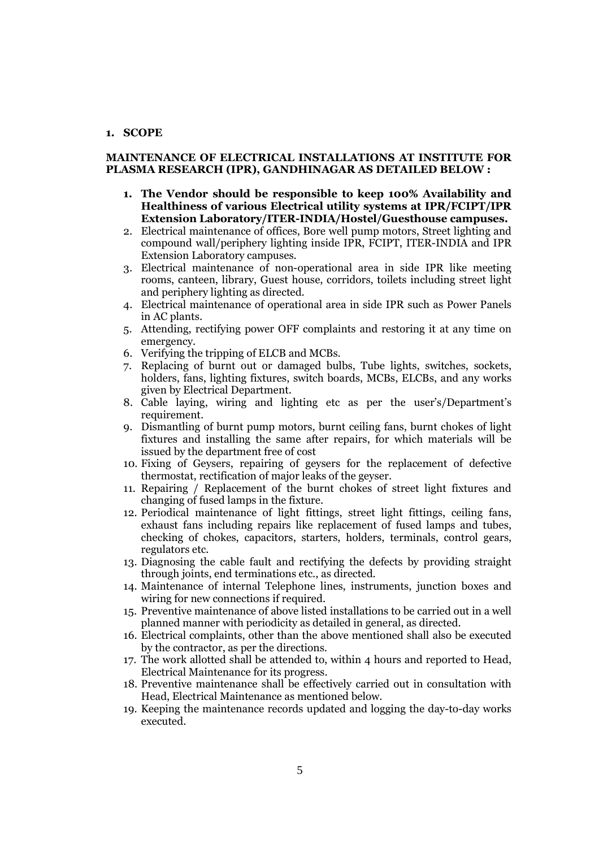#### **1. SCOPE**

#### **MAINTENANCE OF ELECTRICAL INSTALLATIONS AT INSTITUTE FOR PLASMA RESEARCH (IPR), GANDHINAGAR AS DETAILED BELOW :**

- **1. The Vendor should be responsible to keep 100% Availability and Healthiness of various Electrical utility systems at IPR/FCIPT/IPR Extension Laboratory/ITER-INDIA/Hostel/Guesthouse campuses.**
- 2. Electrical maintenance of offices, Bore well pump motors, Street lighting and compound wall/periphery lighting inside IPR, FCIPT, ITER-INDIA and IPR Extension Laboratory campuses.
- 3. Electrical maintenance of non-operational area in side IPR like meeting rooms, canteen, library, Guest house, corridors, toilets including street light and periphery lighting as directed.
- 4. Electrical maintenance of operational area in side IPR such as Power Panels in AC plants.
- 5. Attending, rectifying power OFF complaints and restoring it at any time on emergency.
- 6. Verifying the tripping of ELCB and MCBs.
- 7. Replacing of burnt out or damaged bulbs, Tube lights, switches, sockets, holders, fans, lighting fixtures, switch boards, MCBs, ELCBs, and any works given by Electrical Department.
- 8. Cable laying, wiring and lighting etc as per the user's/Department's requirement.
- 9. Dismantling of burnt pump motors, burnt ceiling fans, burnt chokes of light fixtures and installing the same after repairs, for which materials will be issued by the department free of cost
- 10. Fixing of Geysers, repairing of geysers for the replacement of defective thermostat, rectification of major leaks of the geyser.
- 11. Repairing / Replacement of the burnt chokes of street light fixtures and changing of fused lamps in the fixture.
- 12. Periodical maintenance of light fittings, street light fittings, ceiling fans, exhaust fans including repairs like replacement of fused lamps and tubes, checking of chokes, capacitors, starters, holders, terminals, control gears, regulators etc.
- 13. Diagnosing the cable fault and rectifying the defects by providing straight through joints, end terminations etc., as directed.
- 14. Maintenance of internal Telephone lines, instruments, junction boxes and wiring for new connections if required.
- 15. Preventive maintenance of above listed installations to be carried out in a well planned manner with periodicity as detailed in general, as directed.
- 16. Electrical complaints, other than the above mentioned shall also be executed by the contractor, as per the directions.
- 17. The work allotted shall be attended to, within 4 hours and reported to Head, Electrical Maintenance for its progress.
- 18. Preventive maintenance shall be effectively carried out in consultation with Head, Electrical Maintenance as mentioned below.
- 19. Keeping the maintenance records updated and logging the day-to-day works executed.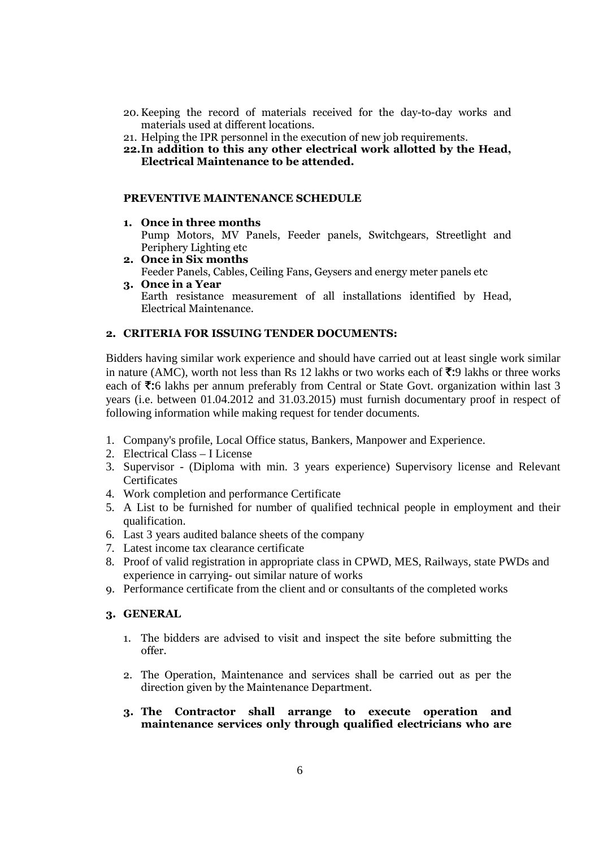- 20. Keeping the record of materials received for the day-to-day works and materials used at different locations.
- 21. Helping the IPR personnel in the execution of new job requirements.
- **22.In addition to this any other electrical work allotted by the Head, Electrical Maintenance to be attended.**

#### **PREVENTIVE MAINTENANCE SCHEDULE**

**1. Once in three months** 

Pump Motors, MV Panels, Feeder panels, Switchgears, Streetlight and Periphery Lighting etc

- **2. Once in Six months**  Feeder Panels, Cables, Ceiling Fans, Geysers and energy meter panels etc
- **3. Once in a Year**  Earth resistance measurement of all installations identified by Head, Electrical Maintenance.

#### **2. CRITERIA FOR ISSUING TENDER DOCUMENTS:**

Bidders having similar work experience and should have carried out at least single work similar in nature (AMC), worth not less than Rs 12 lakhs or two works each of  $\bar{\tau}$ :9 lakhs or three works each of  $\overline{\mathbf{z}}$ :6 lakhs per annum preferably from Central or State Govt. organization within last 3 years (i.e. between 01.04.2012 and 31.03.2015) must furnish documentary proof in respect of following information while making request for tender documents.

- 1. Company's profile, Local Office status, Bankers, Manpower and Experience.
- 2. Electrical Class I License
- 3. Supervisor (Diploma with min. 3 years experience) Supervisory license and Relevant **Certificates**
- 4. Work completion and performance Certificate
- 5. A List to be furnished for number of qualified technical people in employment and their qualification.
- 6. Last 3 years audited balance sheets of the company
- 7. Latest income tax clearance certificate
- 8. Proof of valid registration in appropriate class in CPWD, MES, Railways, state PWDs and experience in carrying- out similar nature of works
- 9. Performance certificate from the client and or consultants of the completed works

#### **3. GENERAL**

- 1. The bidders are advised to visit and inspect the site before submitting the offer.
- 2. The Operation, Maintenance and services shall be carried out as per the direction given by the Maintenance Department.
- **3. The Contractor shall arrange to execute operation and maintenance services only through qualified electricians who are**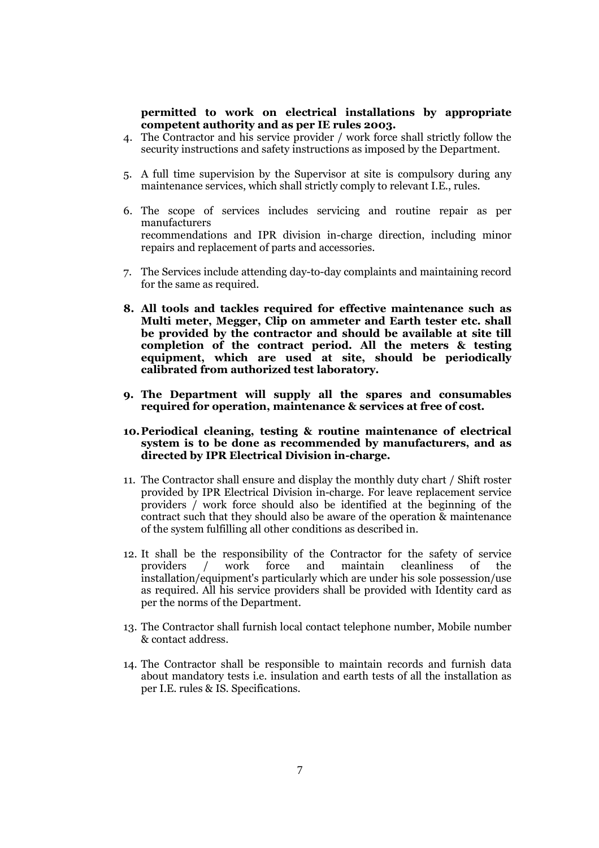#### **permitted to work on electrical installations by appropriate competent authority and as per IE rules 2003.**

- 4. The Contractor and his service provider / work force shall strictly follow the security instructions and safety instructions as imposed by the Department.
- 5. A full time supervision by the Supervisor at site is compulsory during any maintenance services, which shall strictly comply to relevant I.E., rules.
- 6. The scope of services includes servicing and routine repair as per manufacturers recommendations and IPR division in-charge direction, including minor repairs and replacement of parts and accessories.
- 7. The Services include attending day-to-day complaints and maintaining record for the same as required.
- **8. All tools and tackles required for effective maintenance such as Multi meter, Megger, Clip on ammeter and Earth tester etc. shall be provided by the contractor and should be available at site till completion of the contract period. All the meters & testing equipment, which are used at site, should be periodically calibrated from authorized test laboratory.**
- **9. The Department will supply all the spares and consumables required for operation, maintenance & services at free of cost.**
- **10.Periodical cleaning, testing & routine maintenance of electrical system is to be done as recommended by manufacturers, and as directed by IPR Electrical Division in-charge.**
- 11. The Contractor shall ensure and display the monthly duty chart / Shift roster provided by IPR Electrical Division in-charge. For leave replacement service providers / work force should also be identified at the beginning of the contract such that they should also be aware of the operation & maintenance of the system fulfilling all other conditions as described in.
- 12. It shall be the responsibility of the Contractor for the safety of service providers / work force and maintain cleanliness of the installation/equipment's particularly which are under his sole possession/use as required. All his service providers shall be provided with Identity card as per the norms of the Department.
- 13. The Contractor shall furnish local contact telephone number, Mobile number & contact address.
- 14. The Contractor shall be responsible to maintain records and furnish data about mandatory tests i.e. insulation and earth tests of all the installation as per I.E. rules & IS. Specifications.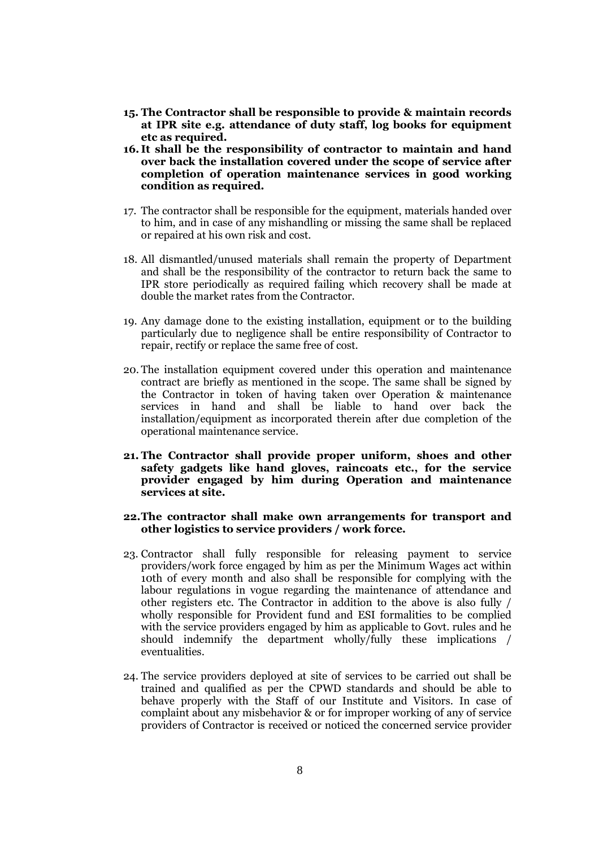- **15. The Contractor shall be responsible to provide & maintain records at IPR site e.g. attendance of duty staff, log books for equipment etc as required.**
- **16. It shall be the responsibility of contractor to maintain and hand over back the installation covered under the scope of service after completion of operation maintenance services in good working condition as required.**
- 17. The contractor shall be responsible for the equipment, materials handed over to him, and in case of any mishandling or missing the same shall be replaced or repaired at his own risk and cost.
- 18. All dismantled/unused materials shall remain the property of Department and shall be the responsibility of the contractor to return back the same to IPR store periodically as required failing which recovery shall be made at double the market rates from the Contractor.
- 19. Any damage done to the existing installation, equipment or to the building particularly due to negligence shall be entire responsibility of Contractor to repair, rectify or replace the same free of cost.
- 20. The installation equipment covered under this operation and maintenance contract are briefly as mentioned in the scope. The same shall be signed by the Contractor in token of having taken over Operation & maintenance services in hand and shall be liable to hand over back the installation/equipment as incorporated therein after due completion of the operational maintenance service.
- **21. The Contractor shall provide proper uniform, shoes and other safety gadgets like hand gloves, raincoats etc., for the service provider engaged by him during Operation and maintenance services at site.**

#### **22.The contractor shall make own arrangements for transport and other logistics to service providers / work force.**

- 23. Contractor shall fully responsible for releasing payment to service providers/work force engaged by him as per the Minimum Wages act within 10th of every month and also shall be responsible for complying with the labour regulations in vogue regarding the maintenance of attendance and other registers etc. The Contractor in addition to the above is also fully / wholly responsible for Provident fund and ESI formalities to be complied with the service providers engaged by him as applicable to Govt. rules and he should indemnify the department wholly/fully these implications / eventualities.
- 24. The service providers deployed at site of services to be carried out shall be trained and qualified as per the CPWD standards and should be able to behave properly with the Staff of our Institute and Visitors. In case of complaint about any misbehavior & or for improper working of any of service providers of Contractor is received or noticed the concerned service provider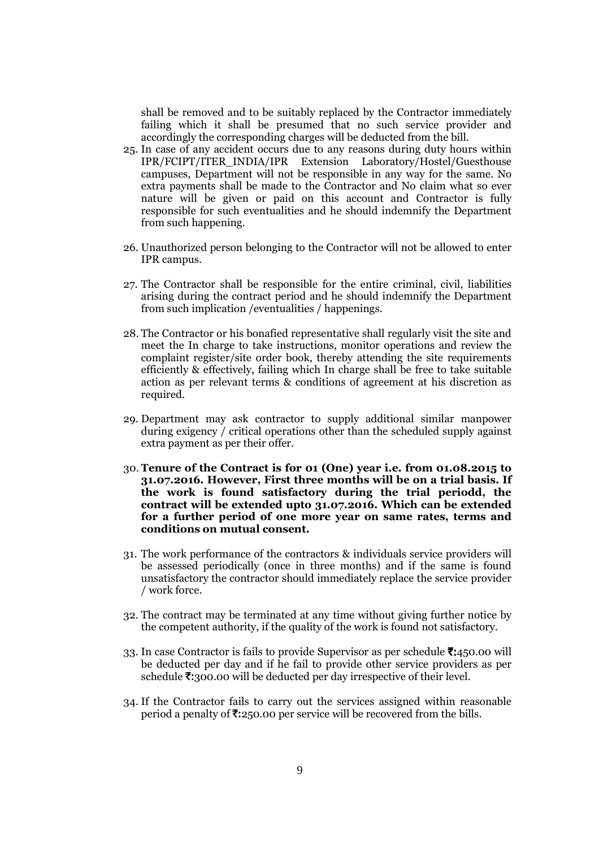shall be removed and to be suitably replaced by the Contractor immediately failing which it shall be presumed that no such service provider and accordingly the corresponding charges will be deducted from the bill.

- 25. In case of any accident occurs due to any reasons during duty hours within IPR/FCIPT/ITER\_INDIA/IPR Extension Laboratory/Hostel/Guesthouse campuses, Department will not be responsible in any way for the same. No extra payments shall be made to the Contractor and No claim what so ever nature will be given or paid on this account and Contractor is fully responsible for such eventualities and he should indemnify the Department from such happening.
- 26. Unauthorized person belonging to the Contractor will not be allowed to enter IPR campus.
- 27. The Contractor shall be responsible for the entire criminal, civil, liabilities arising during the contract period and he should indemnify the Department from such implication /eventualities / happenings.
- 28. The Contractor or his bonafied representative shall regularly visit the site and meet the In charge to take instructions, monitor operations and review the complaint register/site order book, thereby attending the site requirements efficiently & effectively, failing which In charge shall be free to take suitable action as per relevant terms & conditions of agreement at his discretion as required.
- 29. Department may ask contractor to supply additional similar manpower during exigency / critical operations other than the scheduled supply against extra payment as per their offer.
- 30. **Tenure of the Contract is for 01 (One) year i.e. from 01.08.2015 to 31.07.2016. However, First three months will be on a trial basis. If the work is found satisfactory during the trial periodd, the contract will be extended upto 31.07.2016. Which can be extended for a further period of one more year on same rates, terms and conditions on mutual consent.**
- 31. The work performance of the contractors & individuals service providers will be assessed periodically (once in three months) and if the same is found unsatisfactory the contractor should immediately replace the service provider / work force.
- 32. The contract may be terminated at any time without giving further notice by the competent authority, if the quality of the work is found not satisfactory.
- 33. In case Contractor is fails to provide Supervisor as per schedule  $\bar{\tau}$ :450.00 will be deducted per day and if he fail to provide other service providers as per schedule  $\overline{\tau}$ :300.00 will be deducted per day irrespective of their level.
- 34. If the Contractor fails to carry out the services assigned within reasonable period a penalty of  $\overline{\mathfrak{Z}}:250.00$  per service will be recovered from the bills.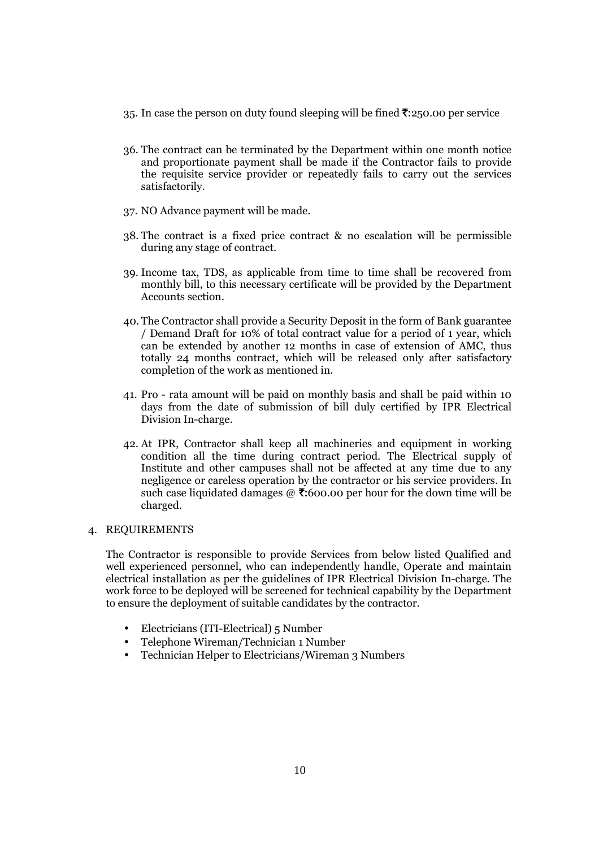- 35. In case the person on duty found sleeping will be fined  $\bar{\mathfrak{Z}}$ :250.00 per service
- 36. The contract can be terminated by the Department within one month notice and proportionate payment shall be made if the Contractor fails to provide the requisite service provider or repeatedly fails to carry out the services satisfactorily.
- 37. NO Advance payment will be made.
- 38. The contract is a fixed price contract & no escalation will be permissible during any stage of contract.
- 39. Income tax, TDS, as applicable from time to time shall be recovered from monthly bill, to this necessary certificate will be provided by the Department Accounts section.
- 40. The Contractor shall provide a Security Deposit in the form of Bank guarantee / Demand Draft for 10% of total contract value for a period of 1 year, which can be extended by another 12 months in case of extension of AMC, thus totally 24 months contract, which will be released only after satisfactory completion of the work as mentioned in.
- 41. Pro rata amount will be paid on monthly basis and shall be paid within 10 days from the date of submission of bill duly certified by IPR Electrical Division In-charge.
- 42. At IPR, Contractor shall keep all machineries and equipment in working condition all the time during contract period. The Electrical supply of Institute and other campuses shall not be affected at any time due to any negligence or careless operation by the contractor or his service providers. In such case liquidated damages  $\omega$   $\ddot{\mathbf{\cdot}}$  (600.00 per hour for the down time will be charged.

#### 4. REQUIREMENTS

The Contractor is responsible to provide Services from below listed Qualified and well experienced personnel, who can independently handle, Operate and maintain electrical installation as per the guidelines of IPR Electrical Division In-charge. The work force to be deployed will be screened for technical capability by the Department to ensure the deployment of suitable candidates by the contractor.

- Electricians (ITI-Electrical) 5 Number
- Telephone Wireman/Technician 1 Number
- Technician Helper to Electricians/Wireman 3 Numbers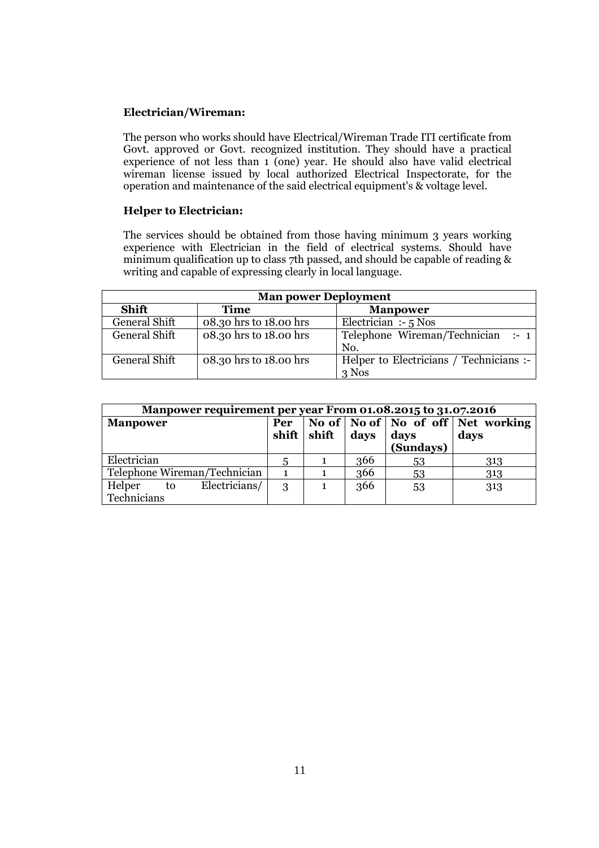#### **Electrician/Wireman:**

The person who works should have Electrical/Wireman Trade ITI certificate from Govt. approved or Govt. recognized institution. They should have a practical experience of not less than 1 (one) year. He should also have valid electrical wireman license issued by local authorized Electrical Inspectorate, for the operation and maintenance of the said electrical equipment's & voltage level.

#### **Helper to Electrician:**

The services should be obtained from those having minimum 3 years working experience with Electrician in the field of electrical systems. Should have minimum qualification up to class 7th passed, and should be capable of reading & writing and capable of expressing clearly in local language.

| <b>Man power Deployment</b> |                        |                                         |  |  |  |  |
|-----------------------------|------------------------|-----------------------------------------|--|--|--|--|
| <b>Shift</b>                | <b>Time</b>            | <b>Manpower</b>                         |  |  |  |  |
| General Shift               | 08.30 hrs to 18.00 hrs | Electrician :- $5$ Nos                  |  |  |  |  |
| General Shift               | 08.30 hrs to 18.00 hrs | Telephone Wireman/Technician :- $1$     |  |  |  |  |
|                             |                        | No.                                     |  |  |  |  |
| General Shift               | 08.30 hrs to 18.00 hrs | Helper to Electricians / Technicians :- |  |  |  |  |
|                             |                        | $3$ Nos                                 |  |  |  |  |

| Manpower requirement per year From 01.08.2015 to 31.07.2016 |                       |       |                       |           |                                                                   |  |
|-------------------------------------------------------------|-----------------------|-------|-----------------------|-----------|-------------------------------------------------------------------|--|
| <b>Manpower</b>                                             | Per<br>$\text{shift}$ | shift | $\bf days$ $\bf days$ | (Sundays) | No of $\vert$ No of $\vert$ No of off $\vert$ Net working<br>days |  |
| Electrician                                                 | 5                     |       | 366                   | 53        | 313                                                               |  |
| Telephone Wireman/Technician                                |                       |       | 366                   | 53        | 313                                                               |  |
| Electricians/<br>Helper to<br>Technicians                   | 3                     |       | 366                   | 53        | 313                                                               |  |